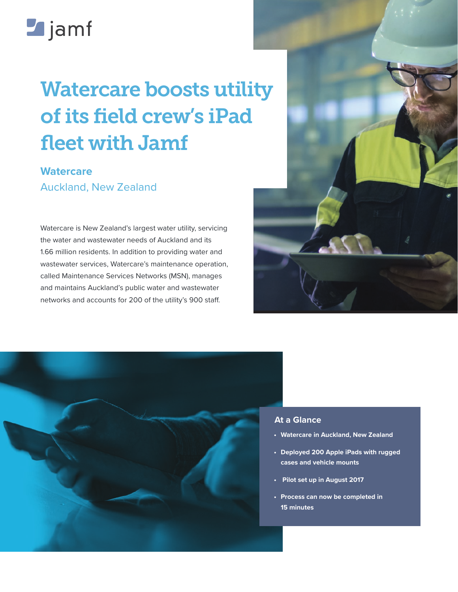# **Legiamf**

# Watercare boosts utility of its field crew's iPad fleet with Jamf

### **Watercare**

Auckland, New Zealand

Watercare is New Zealand's largest water utility, servicing the water and wastewater needs of Auckland and its 1.66 million residents. In addition to providing water and wastewater services, Watercare's maintenance operation, called Maintenance Services Networks (MSN), manages and maintains Auckland's public water and wastewater networks and accounts for 200 of the utility's 900 staff.





#### **At a Glance**

- **• Watercare in Auckland, New Zealand**
- **• Deployed 200 Apple iPads with rugged cases and vehicle mounts**
- **Pilot set up in August 2017**
- **• Process can now be completed in 15 minutes**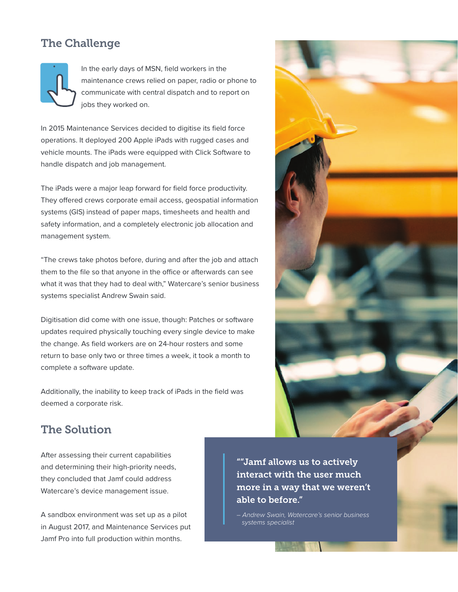## The Challenge



In the early days of MSN, field workers in the maintenance crews relied on paper, radio or phone to communicate with central dispatch and to report on jobs they worked on.

In 2015 Maintenance Services decided to digitise its field force operations. It deployed 200 Apple iPads with rugged cases and vehicle mounts. The iPads were equipped with Click Software to handle dispatch and job management.

The iPads were a major leap forward for field force productivity. They offered crews corporate email access, geospatial information systems (GIS) instead of paper maps, timesheets and health and safety information, and a completely electronic job allocation and management system.

"The crews take photos before, during and after the job and attach them to the file so that anyone in the office or afterwards can see what it was that they had to deal with," Watercare's senior business systems specialist Andrew Swain said.

Digitisation did come with one issue, though: Patches or software updates required physically touching every single device to make the change. As field workers are on 24-hour rosters and some return to base only two or three times a week, it took a month to complete a software update.

Additionally, the inability to keep track of iPads in the field was deemed a corporate risk.

# The Solution

After assessing their current capabilities and determining their high-priority needs, they concluded that Jamf could address Watercare's device management issue.

A sandbox environment was set up as a pilot in August 2017, and Maintenance Services put Jamf Pro into full production within months.

""Jamf allows us to actively interact with the user much more in a way that we weren't able to before."

*– Andrew Swain, Watercare's senior business systems specialist*